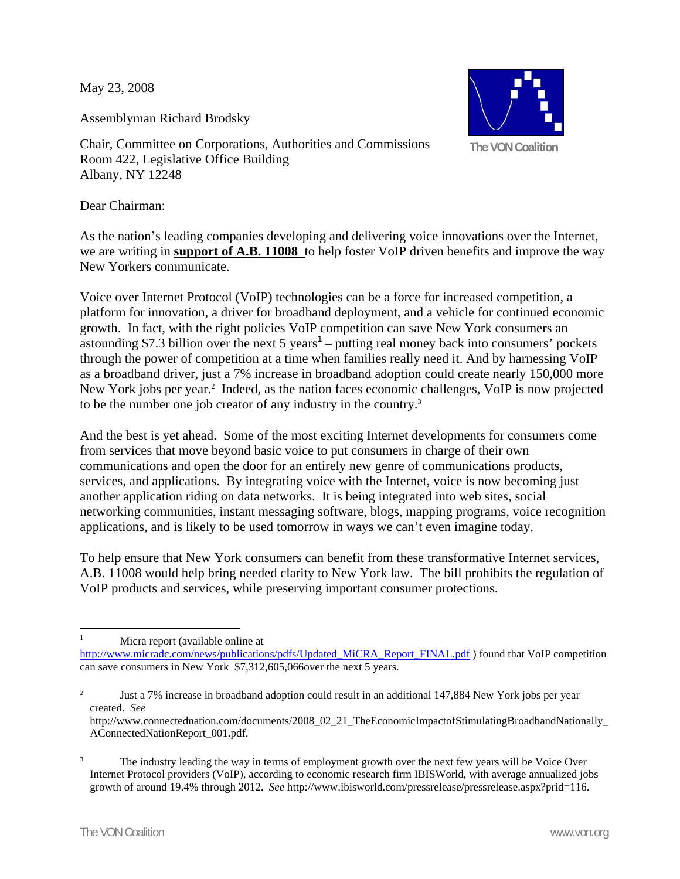May 23, 2008

Assemblyman Richard Brodsky



Chair, Committee on Corporations, Authorities and Commissions Room 422, Legislative Office Building Albany, NY 12248

Dear Chairman:

As the nation's leading companies developing and delivering voice innovations over the Internet, we are writing in **support of A.B. 11008** to help foster VoIP driven benefits and improve the way New Yorkers communicate.

Voice over Internet Protocol (VoIP) technologies can be a force for increased competition, a platform for innovation, a driver for broadband deployment, and a vehicle for continued economic growth. In fact, with the right policies VoIP competition can save New York consumers an astounding \$7.3 billion over the next  $5$  years<sup>1</sup> – putting real money back into consumers' pockets through the power of competition at a time when families really need it. And by harnessing VoIP as a broadband driver, just a 7% increase in broadband adoption could create nearly 150,000 more New York jobs per year.<sup>2</sup> Indeed, as the nation faces economic challenges, VoIP is now projected to be the number one job creator of any industry in the country.<sup>3</sup>

And the best is yet ahead. Some of the most exciting Internet developments for consumers come from services that move beyond basic voice to put consumers in charge of their own communications and open the door for an entirely new genre of communications products, services, and applications. By integrating voice with the Internet, voice is now becoming just another application riding on data networks. It is being integrated into web sites, social networking communities, instant messaging software, blogs, mapping programs, voice recognition applications, and is likely to be used tomorrow in ways we can't even imagine today.

To help ensure that New York consumers can benefit from these transformative Internet services, A.B. 11008 would help bring needed clarity to New York law. The bill prohibits the regulation of VoIP products and services, while preserving important consumer protections.

 $\frac{1}{1}$ Micra report (available online at

http://www.micradc.com/news/publications/pdfs/Updated\_MiCRA\_Report\_FINAL.pdf ) found that VoIP competition can save consumers in New York \$7,312,605,066over the next 5 years.

<sup>2</sup> Just a 7% increase in broadband adoption could result in an additional 147,884 New York jobs per year created. *See* 

http://www.connectednation.com/documents/2008\_02\_21\_TheEconomicImpactofStimulatingBroadbandNationally\_ AConnectedNationReport\_001.pdf.

<sup>3</sup> The industry leading the way in terms of employment growth over the next few years will be Voice Over Internet Protocol providers (VoIP), according to economic research firm IBISWorld, with average annualized jobs growth of around 19.4% through 2012. *See* http://www.ibisworld.com/pressrelease/pressrelease.aspx?prid=116.